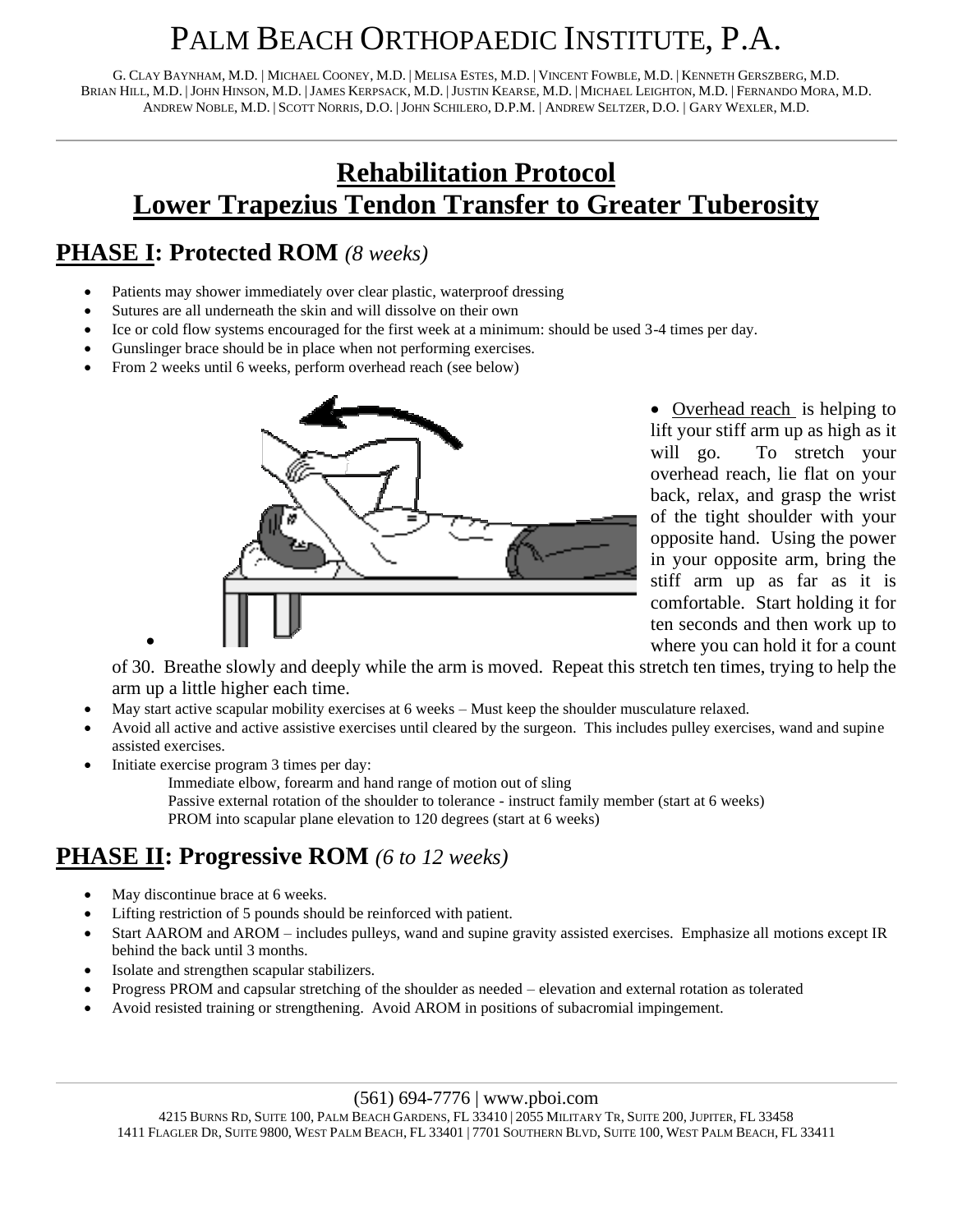# PALM BEACH ORTHOPAEDIC INSTITUTE, P.A.

G. CLAY BAYNHAM, M.D. | MICHAEL COONEY, M.D. | MELISA ESTES, M.D. | VINCENT FOWBLE, M.D. | KENNETH GERSZBERG, M.D. BRIAN HILL, M.D. |JOHN HINSON, M.D. |JAMES KERPSACK, M.D. |JUSTIN KEARSE, M.D. | MICHAEL LEIGHTON, M.D. | FERNANDO MORA, M.D. ANDREW NOBLE, M.D. | SCOTT NORRIS, D.O. |JOHN SCHILERO, D.P.M. | ANDREW SELTZER, D.O. | GARY WEXLER, M.D.

## **Rehabilitation Protocol Lower Trapezius Tendon Transfer to Greater Tuberosity**

#### **PHASE I: Protected ROM** *(8 weeks)*

- Patients may shower immediately over clear plastic, waterproof dressing
- Sutures are all underneath the skin and will dissolve on their own
- Ice or cold flow systems encouraged for the first week at a minimum: should be used 3-4 times per day.
- Gunslinger brace should be in place when not performing exercises.
- From 2 weeks until 6 weeks, perform overhead reach (see below)



• Overhead reach is helping to lift your stiff arm up as high as it will go. To stretch your overhead reach, lie flat on your back, relax, and grasp the wrist of the tight shoulder with your opposite hand. Using the power in your opposite arm, bring the stiff arm up as far as it is comfortable. Start holding it for ten seconds and then work up to where you can hold it for a count

of 30. Breathe slowly and deeply while the arm is moved. Repeat this stretch ten times, trying to help the arm up a little higher each time.

- May start active scapular mobility exercises at 6 weeks Must keep the shoulder musculature relaxed.
- Avoid all active and active assistive exercises until cleared by the surgeon. This includes pulley exercises, wand and supine assisted exercises.
- Initiate exercise program 3 times per day:

•

Immediate elbow, forearm and hand range of motion out of sling Passive external rotation of the shoulder to tolerance - instruct family member (start at 6 weeks) PROM into scapular plane elevation to 120 degrees (start at 6 weeks)

### **PHASE II: Progressive ROM** *(6 to 12 weeks)*

- May discontinue brace at 6 weeks.
- Lifting restriction of 5 pounds should be reinforced with patient.
- Start AAROM and AROM includes pulleys, wand and supine gravity assisted exercises. Emphasize all motions except IR behind the back until 3 months.
- Isolate and strengthen scapular stabilizers.
- Progress PROM and capsular stretching of the shoulder as needed elevation and external rotation as tolerated
- Avoid resisted training or strengthening. Avoid AROM in positions of subacromial impingement.

#### (561) 694-7776 | www.pboi.com

4215 BURNS RD, SUITE 100, PALM BEACH GARDENS, FL 33410 | 2055 MILITARY TR, SUITE 200, JUPITER, FL 33458 1411 FLAGLER DR, SUITE 9800, WEST PALM BEACH, FL 33401 | 7701 SOUTHERN BLVD, SUITE 100, WEST PALM BEACH, FL 33411